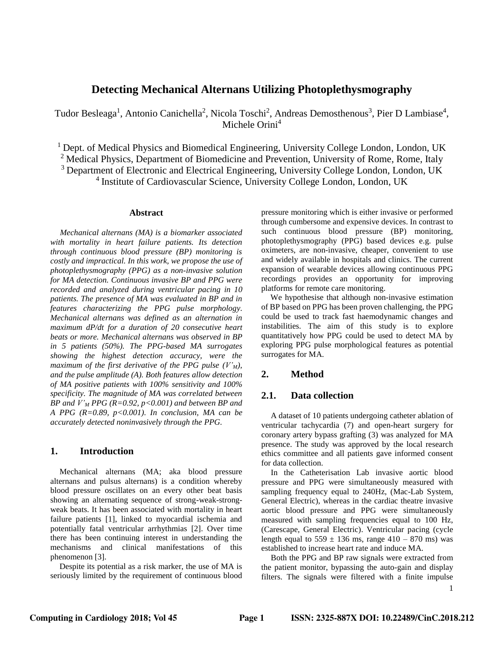# **Detecting Mechanical Alternans Utilizing Photoplethysmography**

Tudor Besleaga<sup>1</sup>, Antonio Canichella<sup>2</sup>, Nicola Toschi<sup>2</sup>, Andreas Demosthenous<sup>3</sup>, Pier D Lambiase<sup>4</sup>, Michele Orini<sup>4</sup>

 $<sup>1</sup>$  Dept. of Medical Physics and Biomedical Engineering, University College London, London, UK</sup> <sup>2</sup> Medical Physics, Department of Biomedicine and Prevention, University of Rome, Rome, Italy

<sup>3</sup> Department of Electronic and Electrical Engineering, University College London, London, UK

4 Institute of Cardiovascular Science, University College London, London, UK

### **Abstract**

*Mechanical alternans (MA) is a biomarker associated with mortality in heart failure patients. Its detection through continuous blood pressure (BP) monitoring is costly and impractical. In this work, we propose the use of photoplethysmography (PPG) as a non-invasive solution for MA detection. Continuous invasive BP and PPG were recorded and analyzed during ventricular pacing in 10 patients. The presence of MA was evaluated in BP and in features characterizing the PPG pulse morphology. Mechanical alternans was defined as an alternation in maximum dP/dt for a duration of 20 consecutive heart beats or more. Mechanical alternans was observed in BP in 5 patients (50%). The PPG-based MA surrogates showing the highest detection accuracy, were the maximum of the first derivative of the PPG pulse*  $(V_M)$ , *and the pulse amplitude (A). Both features allow detection of MA positive patients with 100% sensitivity and 100% specificity. The magnitude of MA was correlated between BP and V'<sup>M</sup> PPG (R=0.92, p<0.001) and between BP and A PPG (R=0.89, p<0.001). In conclusion, MA can be accurately detected noninvasively through the PPG.*

# **1. Introduction**

Mechanical alternans (MA; aka blood pressure alternans and pulsus alternans) is a condition whereby blood pressure oscillates on an every other beat basis showing an alternating sequence of strong-weak-strongweak beats. It has been associated with mortality in heart failure patients [1], linked to myocardial ischemia and potentially fatal ventricular arrhythmias [2]. Over time there has been continuing interest in understanding the mechanisms and clinical manifestations of this phenomenon [3].

Despite its potential as a risk marker, the use of MA is seriously limited by the requirement of continuous blood

pressure monitoring which is either invasive or performed through cumbersome and expensive devices. In contrast to such continuous blood pressure (BP) monitoring, photoplethysmography (PPG) based devices e.g. pulse oximeters, are non-invasive, cheaper, convenient to use and widely available in hospitals and clinics. The current expansion of wearable devices allowing continuous PPG recordings provides an opportunity for improving platforms for remote care monitoring.

We hypothesise that although non-invasive estimation of BP based on PPG has been proven challenging, the PPG could be used to track fast haemodynamic changes and instabilities. The aim of this study is to explore quantitatively how PPG could be used to detect MA by exploring PPG pulse morphological features as potential surrogates for MA.

## **2. Method**

# **2.1. Data collection**

A dataset of 10 patients undergoing catheter ablation of ventricular tachycardia (7) and open-heart surgery for coronary artery bypass grafting (3) was analyzed for MA presence. The study was approved by the local research ethics committee and all patients gave informed consent for data collection.

In the Catheterisation Lab invasive aortic blood pressure and PPG were simultaneously measured with sampling frequency equal to 240Hz, (Mac-Lab System, General Electric), whereas in the cardiac theatre invasive aortic blood pressure and PPG were simultaneously measured with sampling frequencies equal to 100 Hz, (Carescape, General Electric). Ventricular pacing (cycle length equal to  $559 \pm 136$  ms, range  $410 - 870$  ms) was established to increase heart rate and induce MA.

Both the PPG and BP raw signals were extracted from the patient monitor, bypassing the auto-gain and display filters. The signals were filtered with a finite impulse

1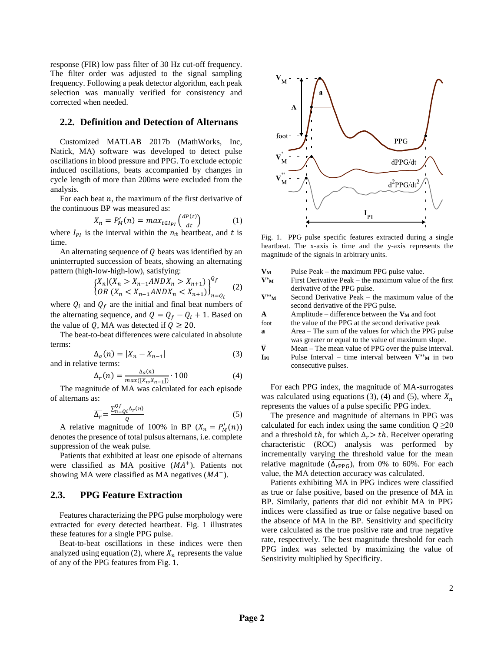response (FIR) low pass filter of 30 Hz cut-off frequency. The filter order was adjusted to the signal sampling frequency. Following a peak detector algorithm, each peak selection was manually verified for consistency and corrected when needed.

## **2.2. Definition and Detection of Alternans**

Customized MATLAB 2017b (MathWorks, Inc, Natick, MA) software was developed to detect pulse oscillations in blood pressure and PPG. To exclude ectopic induced oscillations, beats accompanied by changes in cycle length of more than 200ms were excluded from the analysis.

For each beat  $n$ , the maximum of the first derivative of the continuous BP was measured as:

$$
X_n = P'_M(n) = max_{t \in I_{PI}} \left( \frac{dP(t)}{dt} \right) \tag{1}
$$

where  $I_{PI}$  is the interval within the  $n<sub>th</sub>$  heartbeat, and t is time.

An alternating sequence of  $Q$  beats was identified by an uninterrupted succession of beats, showing an alternating pattern (high-low-high-low), satisfying:

$$
\begin{cases} X_n | (X_n > X_{n-1}ANDX_n > X_{n+1}) \\ OR \ (X_n < X_{n-1}ANDX_n < X_{n+1}) \end{cases}^{Q_f} \tag{2}
$$

where  $Q_i$  and  $Q_f$  are the initial and final beat numbers of the alternating sequence, and  $Q = Q_f - Q_i + 1$ . Based on the value of Q, MA was detected if  $Q \ge 20$ .

The beat-to-beat differences were calculated in absolute terms:

$$
\Delta_a(n) = |X_n - X_{n-1}|
$$
\n(3)

\nand in relative terms:

$$
\Delta_r(n) = \frac{\Delta_a(n)}{\max([X_n, X_{n-1}])} \cdot 100\tag{4}
$$

The magnitude of MA was calculated for each episode of alternans as:

$$
\overline{\Delta_r} = \frac{\sum_{n=Q_i}^{Qf} \Delta_r(n)}{Q} \tag{5}
$$

A relative magnitude of 100% in BP  $(X_n = P'_M(n))$ denotes the presence of total pulsus alternans, i.e. complete suppression of the weak pulse.

Patients that exhibited at least one episode of alternans were classified as MA positive  $(MA<sup>+</sup>)$ . Patients not showing MA were classified as MA negatives  $(MA^{-})$ .

# **2.3. PPG Feature Extraction**

Features characterizing the PPG pulse morphology were extracted for every detected heartbeat. Fig. 1 illustrates these features for a single PPG pulse.

Beat-to-beat oscillations in these indices were then analyzed using equation (2), where  $X_n$  represents the value of any of the PPG features from Fig. 1.



Fig. 1. PPG pulse specific features extracted during a single heartbeat. The x-axis is time and the y-axis represents the magnitude of the signals in arbitrary units.

| $\mathbf{V}_{\mathbf{M}}$    | Pulse Peak – the maximum PPG pulse value.              |  |  |  |  |  |
|------------------------------|--------------------------------------------------------|--|--|--|--|--|
| $V_{\rm M}^{\bullet}$        | First Derivative Peak – the maximum value of the first |  |  |  |  |  |
|                              | derivative of the PPG pulse.                           |  |  |  |  |  |
| $V^{\prime\prime}{}_{\rm M}$ | Second Derivative Peak – the maximum value of the      |  |  |  |  |  |
|                              | second derivative of the PPG pulse.                    |  |  |  |  |  |
| A                            | Amplitude – difference between the $V_M$ and foot      |  |  |  |  |  |
| foot                         | the value of the PPG at the second derivative peak     |  |  |  |  |  |
| a                            | Area – The sum of the values for which the PPG pulse   |  |  |  |  |  |
|                              | was greater or equal to the value of maximum slope.    |  |  |  |  |  |
| $\overline{\mathbf{V}}$      | Mean – The mean value of PPG over the pulse interval.  |  |  |  |  |  |
| IPI                          | Pulse Interval – time interval between $V''_M$ in two  |  |  |  |  |  |
|                              | consecutive pulses.                                    |  |  |  |  |  |

For each PPG index, the magnitude of MA-surrogates was calculated using equations (3), (4) and (5), where  $X_n$ represents the values of a pulse specific PPG index.

The presence and magnitude of alternans in PPG was calculated for each index using the same condition  $Q \geq 20$ and a threshold th, for which  $\overline{\Delta_r} > th$ . Receiver operating characteristic (ROC) analysis was performed by incrementally varying the threshold value for the mean relative magnitude  $(\overline{\Delta_{\text{rPPG}}})$ , from 0% to 60%. For each value, the MA detection accuracy was calculated.

Patients exhibiting MA in PPG indices were classified as true or false positive, based on the presence of MA in BP. Similarly, patients that did not exhibit MA in PPG indices were classified as true or false negative based on the absence of MA in the BP. Sensitivity and specificity were calculated as the true positive rate and true negative rate, respectively. The best magnitude threshold for each PPG index was selected by maximizing the value of Sensitivity multiplied by Specificity.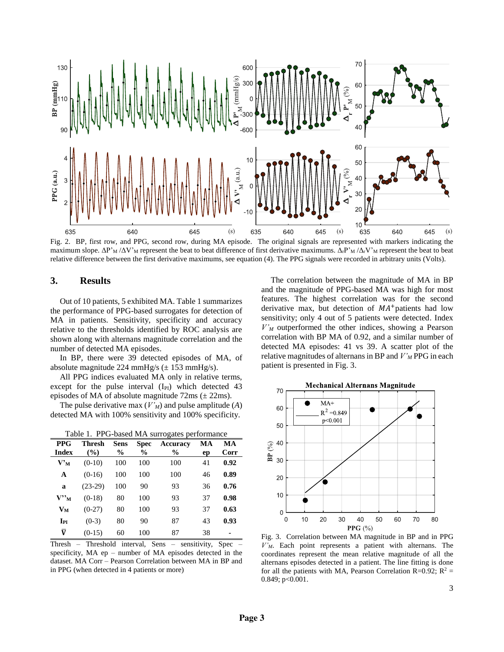

Fig. 2. BP, first row, and PPG, second row, during MA episode. The original signals are represented with markers indicating the maximum slope.  $\Delta P'_{M}/\Delta V'_{M}$  represent the beat to beat difference of first derivative maximums.  $\Delta_{f}P'_{M}/\Delta_{f}V'_{M}$  represent the beat to beat relative difference between the first derivative maximums, see equation (4). The PPG signals were recorded in arbitrary units (Volts).

# **3. Results**

Out of 10 patients, 5 exhibited MA. Table 1 summarizes the performance of PPG-based surrogates for detection of MA in patients. Sensitivity, specificity and accuracy relative to the thresholds identified by ROC analysis are shown along with alternans magnitude correlation and the number of detected MA episodes.

In BP, there were 39 detected episodes of MA, of absolute magnitude 224 mmHg/s  $(\pm 153 \text{ mmHg/s})$ .

All PPG indices evaluated MA only in relative terms, except for the pulse interval  $(I_{PI})$  which detected 43 episodes of MA of absolute magnitude  $72 \text{ms}$  ( $\pm 22 \text{ms}$ ).

The pulse derivative max (*V'M*) and pulse amplitude (*A*) detected MA with 100% sensitivity and 100% specificity.

| Table 1. PPG-based MA surrogates performance |               |             |             |          |    |      |  |
|----------------------------------------------|---------------|-------------|-------------|----------|----|------|--|
| <b>PPG</b>                                   | <b>Thresh</b> | <b>Sens</b> | <b>Spec</b> | Accuracy | МA | MA   |  |
| <b>Index</b>                                 | $($ %)        | $\%$        | $\%$        | $\%$     | ep | Corr |  |
| ${\bf V}^{\prime}{}_{\bf M}$                 | $(0-10)$      | 100         | 100         | 100      | 41 | 0.92 |  |
| $\mathbf{A}$                                 | $(0-16)$      | 100         | 100         | 100      | 46 | 0.89 |  |
| a                                            | $(23-29)$     | 100         | 90          | 93       | 36 | 0.76 |  |
| $V"$ <sup>M</sup>                            | $(0-18)$      | 80          | 100         | 93       | 37 | 0.98 |  |
| $V_M$                                        | $(0-27)$      | 80          | 100         | 93       | 37 | 0.63 |  |
| $I_{PI}$                                     | $(0-3)$       | 80          | 90          | 87       | 43 | 0.93 |  |
| $\bar{\pmb{\text{V}}}$                       | $(0-15)$      | 60          | 100         | 87       | 38 |      |  |

Thresh – Threshold interval, Sens – sensitivity, Spec – specificity, MA ep – number of MA episodes detected in the dataset. MA Corr – Pearson Correlation between MA in BP and in PPG (when detected in 4 patients or more)

The correlation between the magnitude of MA in BP and the magnitude of PPG-based MA was high for most features. The highest correlation was for the second derivative max, but detection of  $MA<sup>+</sup>$  patients had low sensitivity; only 4 out of 5 patients were detected. Index *V'<sup>M</sup>* outperformed the other indices, showing a Pearson correlation with BP MA of 0.92, and a similar number of detected MA episodes: 41 vs 39. A scatter plot of the relative magnitudes of alternans in BP and *V'<sup>M</sup>* PPG in each patient is presented in Fig. 3.



Fig. 3. Correlation between MA magnitude in BP and in PPG *V'M*. Each point represents a patient with alternans. The coordinates represent the mean relative magnitude of all the alternans episodes detected in a patient. The line fitting is done for all the patients with MA, Pearson Correlation R=0.92;  $R^2$  = 0.849; p<0.001.

3